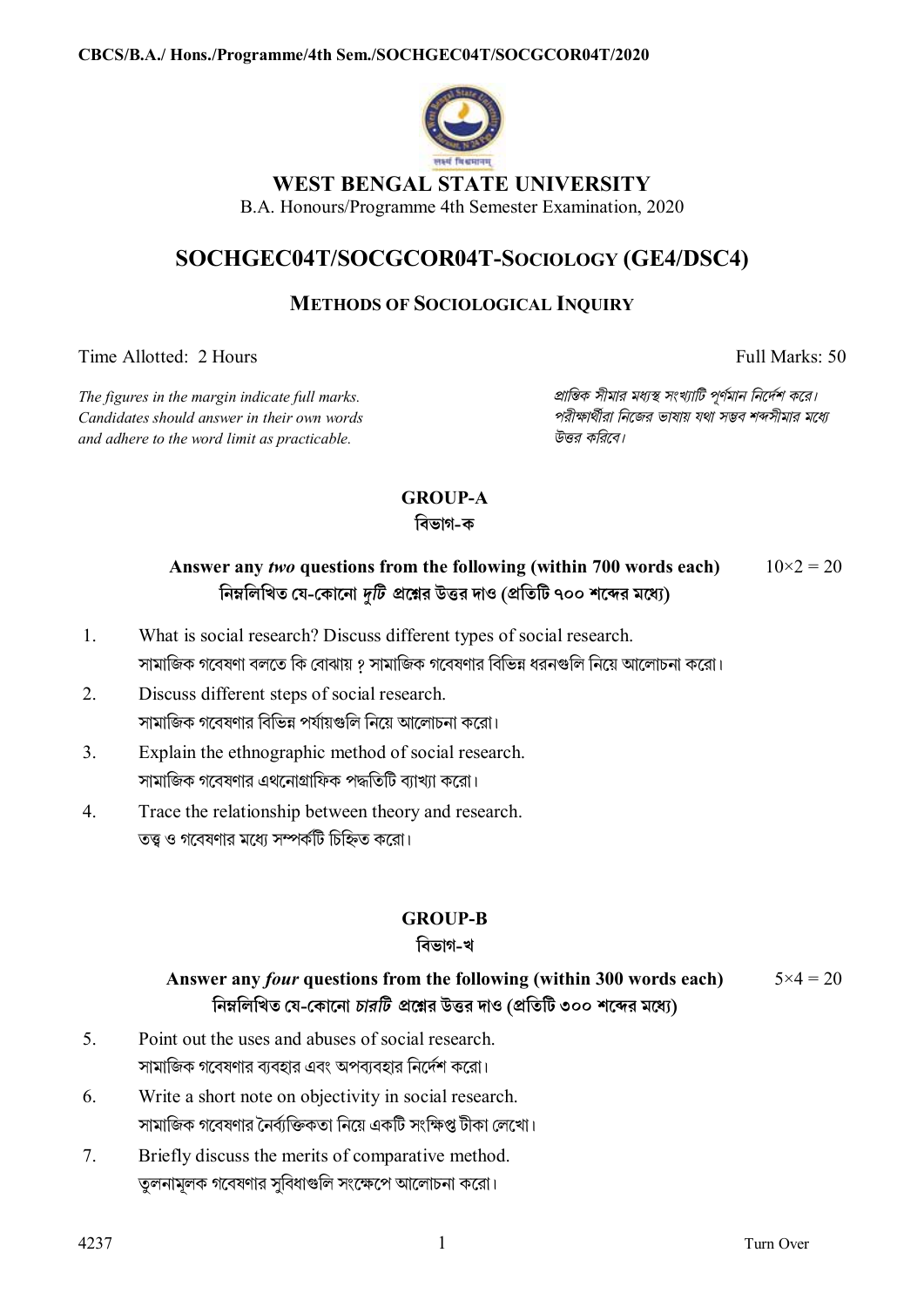

## **WEST BENGAL STATE UNIVERSITY**

B.A. Honours/Programme 4th Semester Examination, 2020

# **SOCHGEC04T/SOCGCOR04T-SOCIOLOGY (GE4/DSC4)**

### **METHODS OF SOCIOLOGICAL INQUIRY**

Time Allotted: 2 Hours Full Marks: 50

*Candidates should answer in their own words পরীkাথীরা িনেজর ভাষায় যথা সmব শbসীমার মেধ° and adhere to the word limit as practicable. উtর কিরেব।*

*The figures in the margin indicate full marks. pািnক সীমার মধ°s সংখ°ািট পূণমান িনেদশ কের।*

# **GROUP-A**

#### **িবভাগ-ক**

#### **Answer any** *two* **questions from the following (within 700 words each) িনmিলিখত েয-েকােনা** *dিট* **pেűর উtর দাও (pিতিট ৭০০ শেbর মেধ°)**  $10\times2 = 20$

- 1. What is social research? Discuss different types of social research. সামাজিক গবেষণা বলতে কি বোঝায় ? সামাজিক গবেষণার বিভিন্ন ধরনগুলি নিয়ে আলোচনা করো।
- 2. Discuss different steps of social research. সামাজিক গবেষণার বিভিন্ন পর্যায়গুলি নিয়ে আলোচনা করো।
- 3. Explain the ethnographic method of social research. সামাজিক গবেষণার এথনোগ্রাফিক পদ্ধতিটি ব্যাখ্যা করো।
- 4. Trace the relationship between theory and research. তত্ত্ব ও গবেষণার মধ্যে সম্পর্কটি চিহ্নিত করো।

### **GROUP-B**

### **িবভাগ-খ**

#### **Answer any** *four* **questions from the following (within 300 words each) িনmিলিখত েয-েকােনা** *চারিট* **pেűর উtর দাও (pিতিট ৩০০ শেbর মেধ°)**  $5 \times 4 = 20$

- 5. Point out the uses and abuses of social research. সামািজক গেবষণার বয্বহার এবং অপবয্বহার িনেদশ কেরা।
- 6. Write a short note on objectivity in social research. সামাজিক গবেষণার নৈর্ব্যক্তিকতা নিয়ে একটি সংক্ষিপ্ত টীকা লেখো।
- 7. Briefly discuss the merits of comparative method. তুলনামূলক গবেষণার সুবিধাগুলি সংক্ষেপে আলোচনা করো।